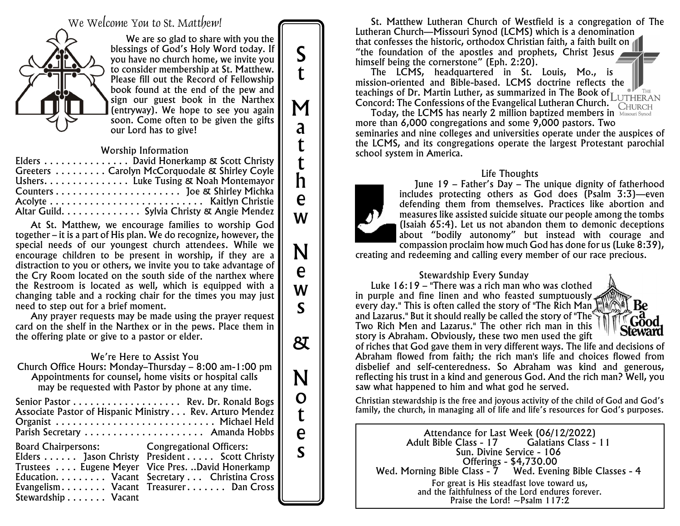We Welcome You to St. Matthew!



We are so glad to share with you the blessings of God's Holy Word today. If you have no church home, we invite you to consider membership at St. Matthew. Please fill out the Record of Fellowship book found at the end of the pew and sign our guest book in the Narthex (entryway). We hope to see you again soon. Come often to be given the gifts our Lord has to give!

#### *Worship Information*

| Elders David Honerkamp & Scott Christy        |
|-----------------------------------------------|
| Greeters Carolyn McCorquodale & Shirley Coyle |
| Ushers. Luke Tusing & Noah Montemayor         |
|                                               |
|                                               |
| Altar Guild. Sylvia Christy & Angie Mendez    |

At St. Matthew, we encourage families to worship God together – it is a part of His plan. We do recognize, however, the special needs of our youngest church attendees. While we encourage children to be present in worship, if they are a distraction to you or others, we invite you to take advantage of the Cry Room located on the south side of the narthex where the Restroom is located as well, which is equipped with a changing table and a rocking chair for the times you may just need to step out for a brief moment.

Any prayer requests may be made using the prayer request card on the shelf in the Narthex or in the pews. Place them in the offering plate or give to a pastor or elder.

#### *We're Here to Assist You*

Church Office Hours: Monday–Thursday – 8:00 am-1:00 pm Appointments for counsel, home visits or hospital calls may be requested with Pastor by phone at any time.

| Senior Pastor  Rev. Dr. Ronald Bogs                      |  |
|----------------------------------------------------------|--|
| Associate Pastor of Hispanic Ministry Rev. Arturo Mendez |  |
| Organist  Michael Held                                   |  |
| Parish Secretary  Amanda Hobbs                           |  |
| <b>Board Chairpersons:</b> Congregational Officers:      |  |
| Elders Jason Christy President Scott Christy             |  |
| Trustees  Eugene Meyer Vice Pres. David Honerkamp        |  |
| Education. Vacant Secretary Christina Cross              |  |
| Evangelism Vacant Treasurer Dan Cross                    |  |
|                                                          |  |
|                                                          |  |

St. Matthew Lutheran Church of Westfield is a congregation of The Lutheran Church—Missouri Synod (LCMS) which is a denomination that confesses the historic, orthodox Christian faith, a faith built on "the foundation of the apostles and prophets, Christ Jesus himself being the cornerstone" (Eph. 2:20).

The LCMS, headquartered in St. Louis, Mo., is mission-oriented and Bible-based. LCMS doctrine reflects the teachings of Dr. Martin Luther, as summarized in The *Book of Concord: The Confessions of the Evangelical Lutheran Church.*

Today, the LCMS has nearly 2 million baptized members in Missouri Synod more than 6,000 congregations and some 9,000 pastors. Two seminaries and nine colleges and universities operate under the auspices of the LCMS, and its congregations operate the largest Protestant parochial school system in America.

#### *Life Thoughts*



S

t

M

a

t

t h

e

w

N

e

w

s

&

N

o t

e s

June 19 – Father's Day – The unique dignity of fatherhood includes protecting others as God does (Psalm 3:3)—even defending them from themselves. Practices like abortion and measures like assisted suicide situate our people among the tombs (Isaiah 65:4). Let us not abandon them to demonic deceptions about "bodily autonomy" but instead with courage and compassion proclaim how much God has done for us (Luke 8:39),

creating and redeeming and calling every member of our race precious.

#### *Stewardship Every Sunday*

Luke 16:19 – "There was a rich man who was clothed in purple and fine linen and who feasted sumptuously, every day." This is often called the story of "The Rich Man I" and Lazarus." But it should really be called the story of "The Two Rich Men and Lazarus." The other rich man in this story is Abraham. Obviously, these two men used the gift

Be Gooc **Steward** 

of riches that God gave them in very different ways. The life and decisions of Abraham flowed from faith; the rich man's life and choices flowed from disbelief and self-centeredness. So Abraham was kind and generous, reflecting his trust in a kind and generous God. And the rich man? Well, you saw what happened to him and what god he served.

*Christian stewardship is the free and joyous activity of the child of God and God's family, the church, in managing all of life and life's resources for God's purposes.*

Attendance for Last Week (06/12/2022) Adult Bible Class - 17 Sun. Divine Service - 106 Offerings - \$4,730.00 Wed. Morning Bible Class - 7 Wed. Evening Bible Classes - 4 *For great is His steadfast love toward us, and the faithfulness of the Lord endures forever. Praise the Lord! ~Psalm 117:2*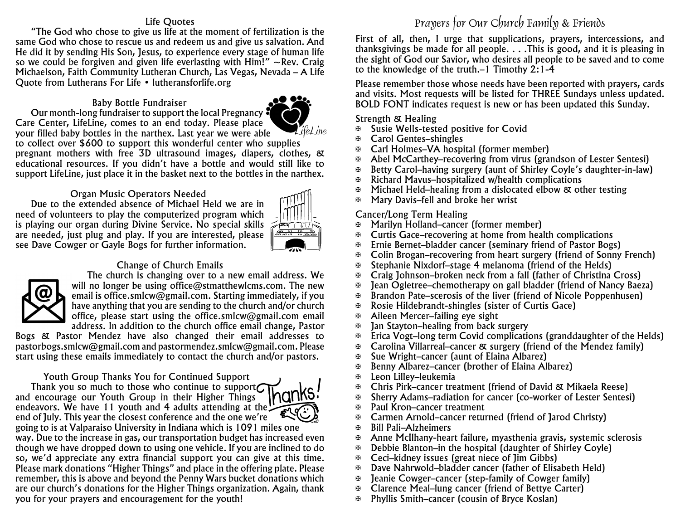#### *Life Quotes*

"The God who chose to give us life at the moment of fertilization is the same God who chose to rescue us and redeem us and give us salvation. And He did it by sending His Son, Jesus, to experience every stage of human life so we could be forgiven and given life everlasting with Him!" *~Rev. Craig Michaelson, Faith Community Lutheran Church, Las Vegas, Nevada – A Life Quote from Lutherans For Life • lutheransforlife.org*

#### *Baby Bottle Fundraiser* Our month-long fundraiser to support the local Pregnancy



Care Center, LifeLine, comes to an end today. Please place LifeLine your filled baby bottles in the narthex. Last year we were able to collect over \$600 to support this wonderful center who supplies pregnant mothers with free 3D ultrasound images, diapers, clothes, & educational resources. If you didn't have a bottle and would still like to support LifeLine, just place it in the basket next to the bottles in the narthex.

### *Organ Music Operators Needed*

Due to the extended absence of Michael Held we are in need of volunteers to play the computerized program which is playing our organ during Divine Service. No special skills are needed, just plug and play. If you are interested, please see Dave Cowger or Gayle Bogs for further information.



#### *Change of Church Emails*



The church is changing over to a new email address. We will no longer be using office@stmatthewlcms.com. The new email is office.smlcw@gmail.com. Starting immediately, if you have anything that you are sending to the church and/or church office, please start using the office.smlcw@gmail.com email address. In addition to the church office email change, Pastor

Bogs & Pastor Mendez have also changed their email addresses to pastorbogs.smlcw@gmail.com and pastormendez.smlcw@gmail.com. Please start using these emails immediately to contact the church and/or pastors.

#### *Youth Group Thanks You for Continued Support*

Thank you so much to those who continue to support $\sigma$ and encourage our Youth Group in their Higher Things endeavors. We have 11 youth and 4 adults attending at the  $\ddot{\phantom{a}}$ end of July. This year the closest conference and the one we're going to is at Valparaiso University in Indiana which is 1091 miles one way. Due to the increase in gas, our transportation budget has increased even though we have dropped down to using one vehicle. If you are inclined to do so, we'd appreciate any extra financial support you can give at this time. Please mark donations "Higher Things" and place in the offering plate. Please remember, this is above and beyond the Penny Wars bucket donations which are our church's donations for the Higher Things organization. Again, thank you for your prayers and encouragement for the youth!

# Prayers for Our Church Family & Friends

*First of all, then, I urge that supplications, prayers, intercessions, and thanksgivings be made for all people. . . .This is good, and it is pleasing in the sight of God our Savior, who desires all people to be saved and to come to the knowledge of the truth.–1 Timothy 2:1-4*

Please remember those whose needs have been reported with prayers, cards and visits. Most requests will be listed for *THREE* Sundays unless updated. BOLD FONT indicates request is new or has been updated this Sunday.

#### *Strength & Healing*

- a Susie Wells-tested positive for Covid
- a Carol Gentes–shingles
- a Carl Holmes–VA hospital (former member)
- a Abel McCarthey–recovering from virus (grandson of Lester Sentesi)
- a Betty Carol–having surgery (aunt of Shirley Coyle's daughter-in-law)
- $\mathbb F$  Richard Mavus–hospitalized w/health complications
- a Michael Held–healing from a dislocated elbow & other testing
- a Mary Davis–fell and broke her wrist

#### *Cancer/Long Term Healing*

- a Marilyn Holland–cancer (former member)
- a Curtis Gace–recovering at home from health complications
- Ernie Bernet–bladder cancer (seminary friend of Pastor Bogs)
- $\mathfrak{B}$  Colin Brogan–recovering from heart surgery (friend of Sonny French)
- a Stephanie Nixdorf–stage 4 melanoma (friend of the Helds)
- $\mathbb{F}$  Craig Johnson–broken neck from a fall (father of Christina Cross)
- Jean Ogletree–chemotherapy on gall bladder (friend of Nancy Baeza)
- $\mathbb{F}$  Brandon Pate–scerosis of the liver (friend of Nicole Poppenhusen)
- $\mathfrak{B}$  Rosie Hildebrandt-shingles (sister of Curtis Gace)
- $\oplus$  Aileen Mercer–failing eye sight
- $\mathfrak{B}$  Jan Stayton–healing from back surgery
- $\overline{\mathcal{F}}$  Erica Vogt–long term Covid complications (granddaughter of the Helds)
- $\mathfrak{B}$  Carolina Villarreal–cancer & surgery (friend of the Mendez family)
- $\mathfrak{B}$  Sue Wright–cancer (aunt of Elaina Albarez)
- a Benny Albarez–cancer (brother of Elaina Albarez)
- a Leon Lilley–leukemia
- a Chris Pirk–cancer treatment (friend of David & Mikaela Reese)
- **a** Sherry Adams–radiation for cancer (co-worker of Lester Sentesi)<br> **a** Paul Kron–cancer treatment
- Paul Kron–cancer treatment
- a Carmen Arnold–cancer returned (friend of Jarod Christy)
- a Bill Pali–Alzheimers
- $\mathfrak{B}$  Anne McIlhany-heart failure, myasthenia gravis, systemic sclerosis
- $\mathbb{B}$  Debbie Blanton–in the hospital (daughter of Shirley Coyle)
- $\mathfrak{B}$  Ceci–kidney issues (great niece of  $\mathfrak{lim}$  Gibbs)
- a Dave Nahrwold–bladder cancer (father of Elisabeth Held)
- $\mathfrak{B}$  Jeanie Cowger–cancer (step-family of Cowger family)
- $\mathfrak{B}$  Clarence Meal–lung cancer (friend of Bettye Carter)
- a Phyllis Smith–cancer (cousin of Bryce Koslan)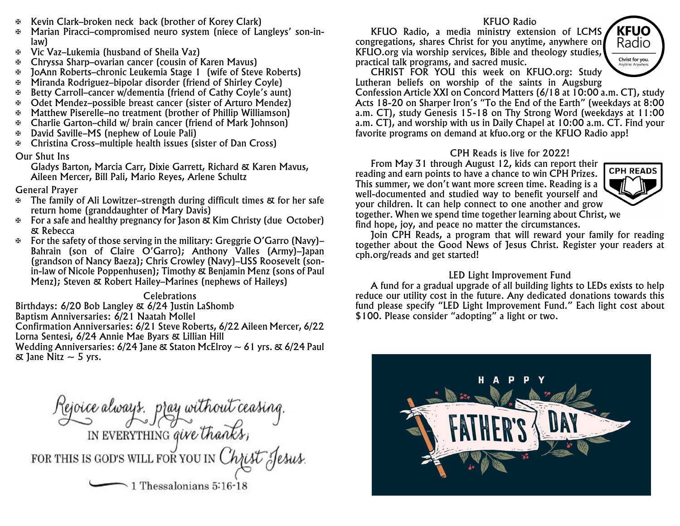- a Kevin Clark–broken neck back (brother of Korey Clark)
- a Marian Piracci–compromised neuro system (niece of Langleys' son-inlaw)
- a Vic Vaz–Lukemia (husband of Sheila Vaz)
- a Chryssa Sharp–ovarian cancer (cousin of Karen Mavus)
- a JoAnn Roberts–chronic Leukemia Stage 1 (wife of Steve Roberts)
- a Miranda Rodriguez–bipolar disorder (friend of Shirley Coyle)
- a Betty Carroll–cancer w/dementia (friend of Cathy Coyle's aunt)
- a Odet Mendez–possible breast cancer (sister of Arturo Mendez)
- a Matthew Piserelle–no treatment (brother of Phillip Williamson)
- a Charlie Garton–child w/ brain cancer (friend of Mark Johnson)
- a David Saville–MS (nephew of Louie Pali)
- a Christina Cross–multiple health issues (sister of Dan Cross)

#### *Our Shut Ins*

Gladys Barton, Marcia Carr, Dixie Garrett, Richard & Karen Mavus, Aileen Mercer, Bill Pali, Mario Reyes, Arlene Schultz

#### *General Prayer*

- $\mathbb F$  The family of Ali Lowitzer–strength during difficult times  $\mathfrak K$  for her safe return home (granddaughter of Mary Davis)
- $\mathbb{F}$  For a safe and healthy pregnancy for Jason & Kim Christy (due October) & Rebecca
- $\mathbb F$  For the safety of those serving in the military: Greggrie O'Garro (Navy)– Bahrain (son of Claire O'Garro); Anthony Valles (Army)–Japan (grandson of Nancy Baeza); Chris Crowley (Navy)–USS Roosevelt (sonin-law of Nicole Poppenhusen); Timothy & Benjamin Menz (sons of Paul Menz); Steven & Robert Hailey–Marines (nephews of Haileys)

*Celebrations* Birthdays: 6/20 Bob Langley & 6/24 Justin LaShomb Baptism Anniversaries: 6/21 Naatah Mollel Confirmation Anniversaries: 6/21 Steve Roberts, 6/22 Aileen Mercer, 6/22 Lorna Sentesi, 6/24 Annie Mae Byars & Lillian Hill Wedding Anniversaries:  $6/24$  Jane & Staton McElroy  $\sim 61$  yrs. &  $6/24$  Paul  $\&$  Jane Nitz  $\sim$  5 yrs.

Rejoice always, pray without ceasing.<br>IN EVERYTHING give thanks,<br>FOR THIS IS GOD'S WILL FOR YOU IN Christ Jesus.  $\sim$  1 Thessalonians 5:16-18

#### *KFUO Radio*

KFUO Radio, a media ministry extension of LCMS congregations, shares Christ for you anytime, anywhere on KFUO.org via worship services, Bible and theology studies, practical talk programs, and sacred music.



CHRIST FOR YOU this week on KFUO.org: Study Lutheran beliefs on worship of the saints in Augsburg

Confession Article XXI on Concord Matters (6/18 at 10:00 a.m. CT), study Acts 18-20 on Sharper Iron's "To the End of the Earth" (weekdays at 8:00 a.m. CT), study Genesis 15-18 on Thy Strong Word (weekdays at 11:00 a.m. CT), and worship with us in Daily Chapel at 10:00 a.m. CT. Find your favorite programs on demand at kfuo.org or the KFUO Radio app!

#### *CPH Reads is live for 2022!*

From May 31 through August 12, kids can report their reading and earn points to have a chance to win CPH Prizes. This summer, we don't want more screen time. Reading is a well-documented and studied way to benefit yourself and your children. It can help connect to one another and grow together. When we spend time together learning about Christ, we find hope, joy, and peace no matter the circumstances.



Join CPH Reads, a program that will reward your family for reading together about the Good News of Jesus Christ. Register your readers at cph.org/reads and get started!

#### *LED Light Improvement Fund*

A fund for a gradual upgrade of all building lights to LEDs exists to help reduce our utility cost in the future. Any dedicated donations towards this fund please specify "LED Light Improvement Fund." Each light cost about \$100. Please consider "adopting" a light or two.